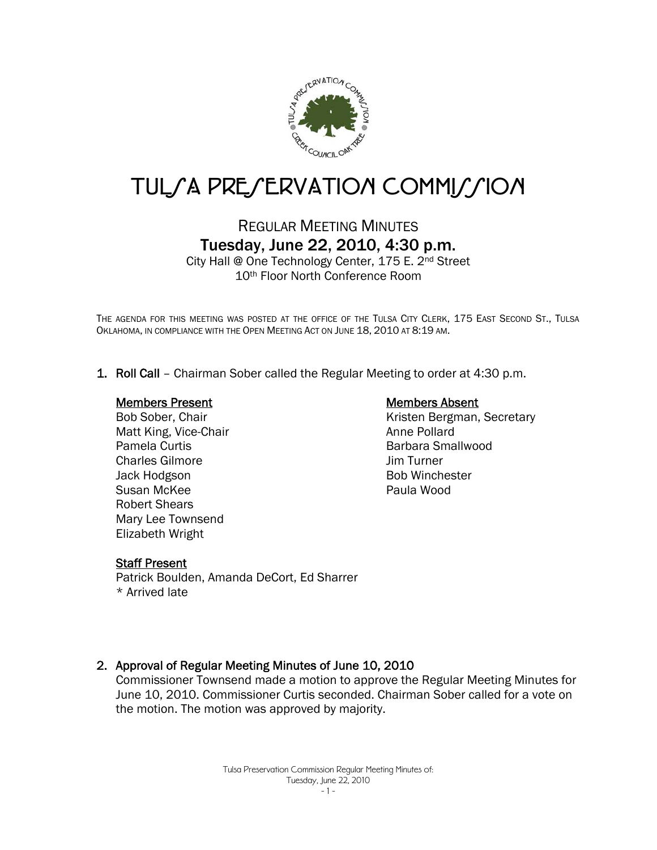

# TUL*SA PRESERVATION COMMISSION*

# REGULAR MEETING MINUTES Tuesday, June 22, 2010, 4:30 p.m.

City Hall @ One Technology Center, 175 E. 2nd Street 10th Floor North Conference Room

THE AGENDA FOR THIS MEETING WAS POSTED AT THE OFFICE OF THE TULSA CITY CLERK, 175 EAST SECOND ST., TULSA OKLAHOMA, IN COMPLIANCE WITH THE OPEN MEETING ACT ON JUNE 18, 2010 AT 8:19 AM.

1. Roll Call – Chairman Sober called the Regular Meeting to order at 4:30 p.m.

#### Members Present

Bob Sober, Chair Matt King, Vice-Chair Pamela Curtis Charles Gilmore Jack Hodgson Susan McKee Robert Shears Mary Lee Townsend Elizabeth Wright

#### Members Absent

Kristen Bergman, Secretary Anne Pollard Barbara Smallwood Jim Turner Bob Winchester Paula Wood

#### Staff Present

Patrick Boulden, Amanda DeCort, Ed Sharrer \* Arrived late

#### 2. Approval of Regular Meeting Minutes of June 10, 2010

Commissioner Townsend made a motion to approve the Regular Meeting Minutes for June 10, 2010. Commissioner Curtis seconded. Chairman Sober called for a vote on the motion. The motion was approved by majority.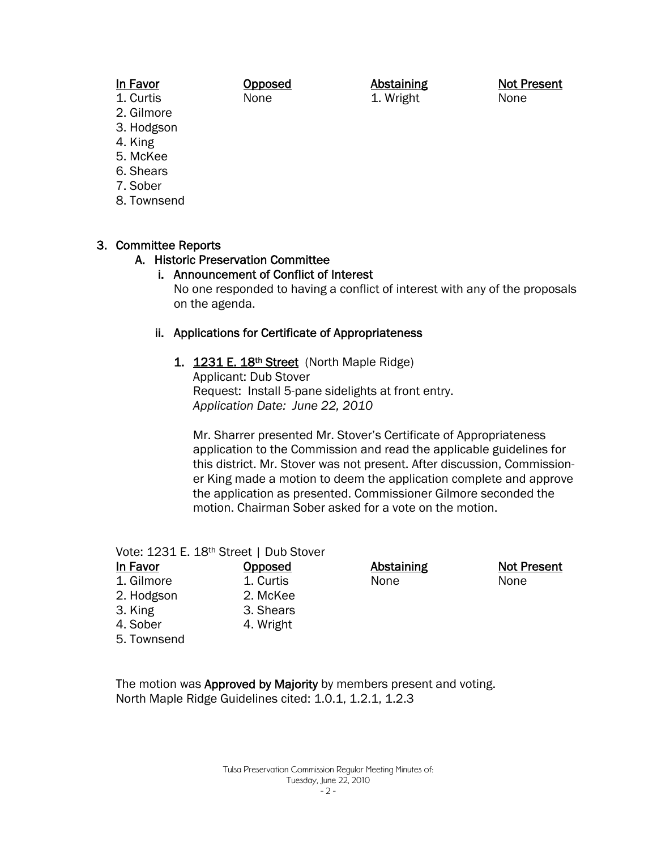#### In Favor 1. Curtis

Opposed None

Abstaining 1. Wright

Not Present None

- 2. Gilmore 3. Hodgson
- 4. King
- 5. McKee
- 6. Shears
- 7. Sober
- 8. Townsend

# 3. Committee Reports

## A. Historic Preservation Committee

#### i. Announcement of Conflict of Interest No one responded to having a conflict of interest with any of the proposals on the agenda.

## ii. Applications for Certificate of Appropriateness

1. 1231 E. 18<sup>th</sup> Street (North Maple Ridge) Applicant: Dub Stover Request: Install 5-pane sidelights at front entry. *Application Date: June 22, 2010* 

Mr. Sharrer presented Mr. Stover's Certificate of Appropriateness application to the Commission and read the applicable guidelines for this district. Mr. Stover was not present. After discussion, Commissioner King made a motion to deem the application complete and approve the application as presented. Commissioner Gilmore seconded the motion. Chairman Sober asked for a vote on the motion.

#### Vote: 1231 E. 18th Street | Dub Stover

In Favor 1. Gilmore 2. Hodgson 3. King 4. Sober

5. Townsend

Opposed 1. Curtis 2. McKee 3. Shears 4. Wright

**Abstaining** None

Not Present None

The motion was Approved by Majority by members present and voting.

North Maple Ridge Guidelines cited: 1.0.1, 1.2.1, 1.2.3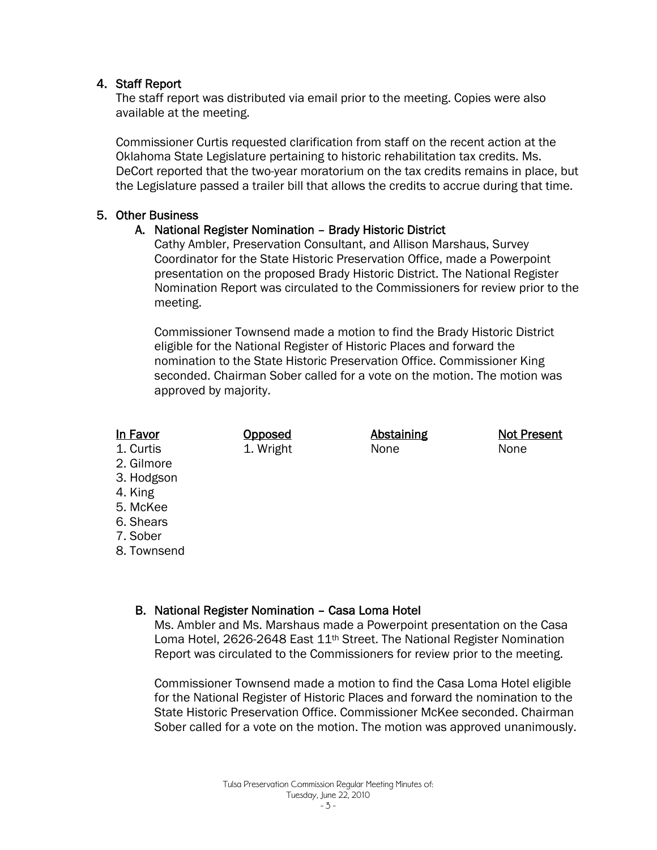#### 4. Staff Report

The staff report was distributed via email prior to the meeting. Copies were also available at the meeting.

Commissioner Curtis requested clarification from staff on the recent action at the Oklahoma State Legislature pertaining to historic rehabilitation tax credits. Ms. DeCort reported that the two-year moratorium on the tax credits remains in place, but the Legislature passed a trailer bill that allows the credits to accrue during that time.

#### 5. Other Business

## A. National Register Nomination – Brady Historic District

Cathy Ambler, Preservation Consultant, and Allison Marshaus, Survey Coordinator for the State Historic Preservation Office, made a Powerpoint presentation on the proposed Brady Historic District. The National Register Nomination Report was circulated to the Commissioners for review prior to the meeting.

Commissioner Townsend made a motion to find the Brady Historic District eligible for the National Register of Historic Places and forward the nomination to the State Historic Preservation Office. Commissioner King seconded. Chairman Sober called for a vote on the motion. The motion was approved by majority.

#### In Favor

1. Curtis

- 2. Gilmore
- 3. Hodgson
- 4. King
- 5. McKee
- 6. Shears
- 7. Sober
- 8. Townsend

## B. National Register Nomination – Casa Loma Hotel

**Opposed** 1. Wright

Ms. Ambler and Ms. Marshaus made a Powerpoint presentation on the Casa Loma Hotel, 2626-2648 East 11<sup>th</sup> Street. The National Register Nomination Report was circulated to the Commissioners for review prior to the meeting.

Commissioner Townsend made a motion to find the Casa Loma Hotel eligible for the National Register of Historic Places and forward the nomination to the State Historic Preservation Office. Commissioner McKee seconded. Chairman Sober called for a vote on the motion. The motion was approved unanimously.

**Abstaining** None

Not Present None